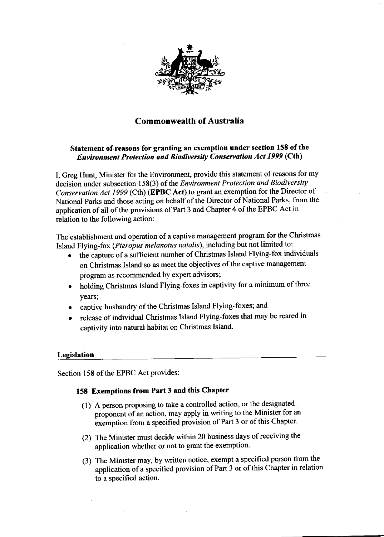

# Commonwealth of Australia

# Statement of reasons for granting an exemption under section 158 of the<br> *Environment Protection and Biodiversity Conservation Act 1999* (Cth)

I, Greg Hunt, Minister for the Environment, provide this statement of reasons for my decision under subsection 158(3) of the *Environment Protection and Biodiversity* Conservation Act 1999 (Cth) (EPBC Act) to grant an exemption for the Director of National Parks and those acting on behalf of the Director of National Parks, from the application of all of the provisions of Part 3 and Chapter 4 of the EPBC Act in relation to the following action:

The establishment and operation of a captive management program for the Christmas Island Flying-fox (Pteropus melanotus natalis), including but not limited to:

- . the capture of a sufficient number of christmas Island Flying-fox individuals on Christmas Island so as meet the objectives of the captive management program as recommended by expert advisors;
- holding Christmas Island Flying-foxes in captivity for a minimum of three years;
- captive husbandry of the Christmas Island Flying-foxes; and
- o release of individual Christmas Island Flying-foxes that may be reared in captivity into natural habitat on Christmas Island.

## Legislation

Section 158 of the EPBC Act provides:

## 158 Exemptions from Part 3 and this Chapter

- (1) A person proposing to take a controlled action, or the designated proponent of an action, may apply in writing to the Minister for an exemption from a specified provision of Part 3 or of this Chapter.
- (2) The Minister must decide within 20 business days of receiving the application whether or not to grant the exemption.
- (3) The Minister may, by written notice, exempt a specified person from the application of a specified provision of Part 3 or of this Chapter in relation to a specified action.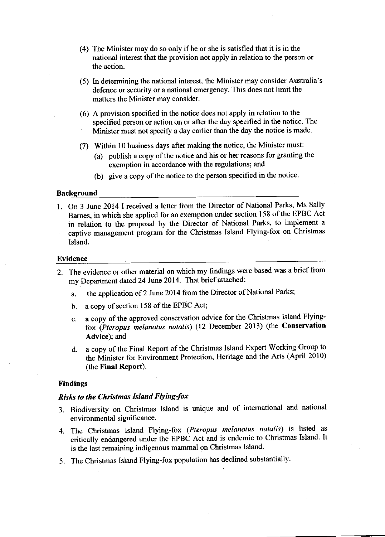- (4) The Minister may do so only if he or she is satisfied that it is in the national interest that the provision not apply in relation to the person or the action.
- (5) In determining the national interest, the Minister may consider Australia's defence or security or a national emergency. This does not limit the matters the Minister may consider.
- (6) A provision specifred in the notice does not apply in relation to the specified person or action on or after the day specified in the notice. The Minister must not specify a day earlier than the day the notice is made.
- (7) Within l0 business days after making the notice, the Minister must:
	- (a) publish a copy of the notice and his or her reasons for granting the exemption in accordance with the regulations; and
	- (b) give a copy of the notice to the person specified in the notice.

## **Background**

1. On 3 June 2014 I received a letter from the Director of National Parks, Ms Sally Bames, in which she applied for an exemption under section 158 of the EPBC Act in relation to the proposal by the Director of National Parks, to implement <sup>a</sup> captive management program for the Christmas Island Flying-fox on Christmas lsland.

#### Evidence

- 2. The evidence or other material on which my findings were based was a brief from my Department dated 24 June 2014. That brief attached:
	- a. the application of 2 June 2014 from the Director of National Parks;
	- b. a copy of section 158 of the EPBC Act;
	- c. a copy of the approved conservation advice for the Christmas Island Flyingfox (Pteropus melanotus natalis) (12 December 2013) (the Conserryation Advice); and
	- d. a copy of the Final Report of the Christmas Island Expert Working Group to the Minister for Environment Protection, Heritage and the Arts (April 2010) (the Final Report).

#### Findings

#### Risks to the Christmas Island Flying-fox

- 3. Biodiversity on christmas Island is unique and of intemational and national environmental significance.
- 4. The Christmas Island Flying-fox (Pteropus melanotus natalis) is listed as critically endangered under the EPBC Act and is endemic to christmas Island. It is the last remaining indigenous mammal on Christmas Island.
- 5. The Christmas Island Flying-fox population has declined substantially'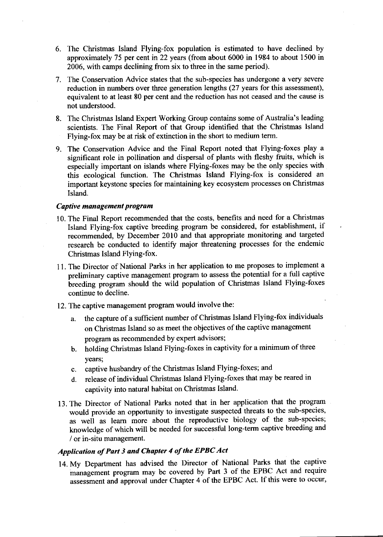- 6. The Christmas Island Flying-fox population is estimated to have declined by approximately 75 per cent in 22 years (from about 6000 in 1984 to about 1500 in 2006, with camps declining from six to three in the same period).
- 7. The Conservation Advice states that the sub-species has undergone a very severe reduction in numbers over three generation lengths (27 years for this assessment), equivalent to at least 80 per cent and the reduction has not ceased and the cause is not understood.
- 8. The Christmas Island Expert Working Group contains some of Australia's leading scientists. The Final Report of that Group identified that the Christmas Island Flying-fox may be at risk of extinction in the short to medium term.
- 9. The Conservation Advice and the Final Report noted that Flying-foxes play <sup>a</sup> significant role in pollination and dispersal of plants with fleshy fruits, which is especially important on islands where Flying-foxes may be the only species with this ecological function. The Christmas Island Flying-fox is considered an important keystone species for maintaining key ecosystem processes on Christmas Island.

## Captive management program

- 10. The Final Report recommended that the costs, benefits and need for a Christmas Island Flying-fox captive breeding program be considered, for establishment, if recommended, by December 2010 and that appropriate monitoring and targeted research be conducted to identify major threatening processes for the endemic Christmas Island Flying-fox.
- 11. The Director of National Parks in her application to me proposes to implement <sup>a</sup> preliminary captive management program to assess the potential for a full captive breeding program should the wild population of Christmas Island Flying-foxes continue to decline.
- 12. The captive management program would involve the:
	- a. the capture of a sufficient number of Christmas Island Flying-fox individuals on Christmas Island so as meet the objectives of the captive management program as recommended by expert advisors;
	- b. holding Christmas Island Flying-foxes in captivity for a minimum of three years;
	- c. captive husbandry of the Christmas Island Flying-foxes; and
	- d. release of individual Christmas Island Flying-foxes that may be reared in captivity into natural habitat on Christmas Island.
- 13. The Director of National Parks noted that in her application that the program would provide an opportunity to investigate suspected threats to the sub-species, as well as leam more about the reproductive biology of the sub-species; knowledge of which will be needed for successful long-term captive breeding and / or in-situ management.

# Application of Part 3 and Chapter 4 of the EPBC Act

14. My Department has advised the Director of National Parks that the captive management program may be covered by Part 3 of the EPBC Act and require assessment and approval under chapter 4 of the EPBC Act. If this were to occur,